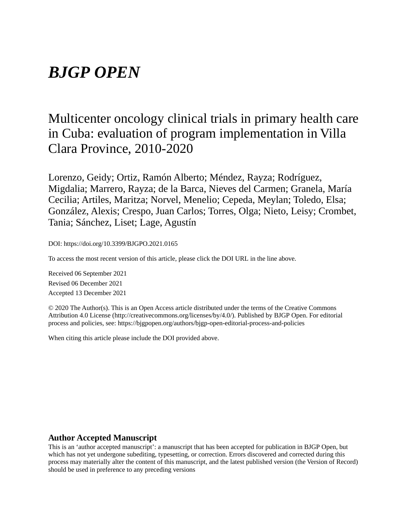# *BJGP OPEN*

# Multicenter oncology clinical trials in primary health care in Cuba: evaluation of program implementation in Villa Clara Province, 2010-2020

Lorenzo, Geidy; Ortiz, Ramón Alberto; Méndez, Rayza; Rodríguez, Migdalia; Marrero, Rayza; de la Barca, Nieves del Carmen; Granela, María Cecilia; Artiles, Maritza; Norvel, Menelio; Cepeda, Meylan; Toledo, Elsa; González, Alexis; Crespo, Juan Carlos; Torres, Olga; Nieto, Leisy; Crombet, Tania; Sánchez, Liset; Lage, Agustín

DOI: https://doi.org/10.3399/BJGPO.2021.0165

To access the most recent version of this article, please click the DOI URL in the line above.

Received 06 September 2021 Revised 06 December 2021 Accepted 13 December 2021

© 2020 The Author(s). This is an Open Access article distributed under the terms of the Creative Commons Attribution 4.0 License (http://creativecommons.org/licenses/by/4.0/). Published by BJGP Open. For editorial process and policies, see: https://bjgpopen.org/authors/bjgp-open-editorial-process-and-policies

When citing this article please include the DOI provided above.

#### **Author Accepted Manuscript**

This is an 'author accepted manuscript': a manuscript that has been accepted for publication in BJGP Open, but which has not yet undergone subediting, typesetting, or correction. Errors discovered and corrected during this process may materially alter the content of this manuscript, and the latest published version (the Version of Record) should be used in preference to any preceding versions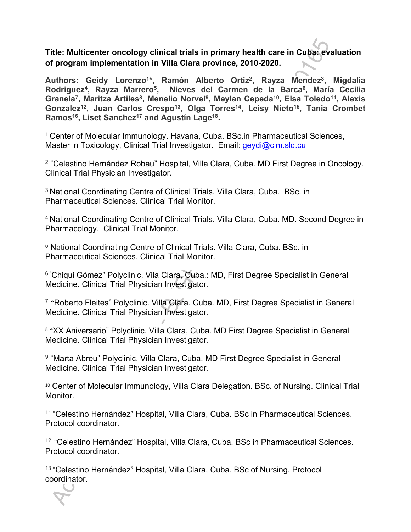**Title: Multicenter oncology clinical trials in primary health care in Cuba: evaluation of program implementation in Villa Clara province, 2010-2020.**

**Authors: Geidy Lorenzo<sup>1</sup> \*, Ramón Alberto Ortiz<sup>2</sup> , Rayza Mendez<sup>3</sup> , Migdalia Rodriguez<sup>4</sup> , Rayza Marrero<sup>5</sup> , Nieves del Carmen de la Barca<sup>6</sup> , María Cecilia Granela<sup>7</sup> , Maritza Artiles<sup>8</sup> , Menelio Norvel<sup>9</sup> , Meylan Cepeda<sup>10</sup>, Elsa Toledo<sup>11</sup>, Alexis Gonzalez<sup>12</sup>, Juan Carlos Crespo<sup>13</sup>, Olga Torres<sup>14</sup>, Leisy Nieto<sup>15</sup>, Tania Crombet Ramos<sup>16</sup>, Liset Sanchez<sup>17</sup> and Agustín Lage<sup>18</sup> .**

<sup>1</sup> Center of Molecular Immunology. Havana, Cuba. BSc.in Pharmaceutical Sciences, Master in Toxicology, Clinical Trial Investigator. Email: geydi@cim.sld.cu

<sup>2</sup> "Celestino Hernández Robau" Hospital, Villa Clara, Cuba. MD First Degree in Oncology. Clinical Trial Physician Investigator.

<sup>3</sup> National Coordinating Centre of Clinical Trials. Villa Clara, Cuba. BSc. in Pharmaceutical Sciences. Clinical Trial Monitor.

<sup>4</sup>National Coordinating Centre of Clinical Trials. Villa Clara, Cuba. MD. Second Degree in Pharmacology. Clinical Trial Monitor.

<sup>5</sup> National Coordinating Centre of Clinical Trials. Villa Clara, Cuba. BSc. in Pharmaceutical Sciences. Clinical Trial Monitor.

<sup>6</sup> "Chiqui Gómez" Polyclinic, Vila Clara, Cuba.: MD, First Degree Specialist in General Medicine. Clinical Trial Physician Investigator.

<sup>7</sup> "Roberto Fleites" Polyclinic. Villa Clara. Cuba. MD, First Degree Specialist in General Medicine. Clinical Trial Physician Investigator.

<sup>8</sup>"XX Aniversario" Polyclinic. Villa Clara, Cuba. MD First Degree Specialist in General Medicine. Clinical Trial Physician Investigator.

<sup>9</sup> "Marta Abreu" Polyclinic. Villa Clara, Cuba. MD First Degree Specialist in General Medicine. Clinical Trial Physician Investigator.

<sup>10</sup> Center of Molecular Immunology, Villa Clara Delegation. BSc. of Nursing. Clinical Trial Monitor.

11 "Celestino Hernández" Hospital, Villa Clara, Cuba. BSc in Pharmaceutical Sciences. Protocol coordinator.

<sup>12</sup> "Celestino Hernández" Hospital, Villa Clara, Cuba. BSc in Pharmaceutical Sciences. Protocol coordinator.

13 "Celestino Hernández" Hospital, Villa Clara, Cuba. BSc of Nursing. Protocol coordinator.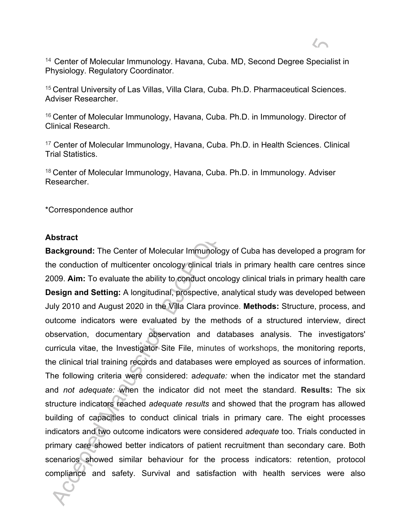<sup>14</sup> Center of Molecular Immunology. Havana, Cuba. MD, Second Degree Specialist in Physiology. Regulatory Coordinator.

<sup>15</sup> Central University of Las Villas, Villa Clara, Cuba. Ph.D. Pharmaceutical Sciences. Adviser Researcher.

<sup>16</sup> Center of Molecular Immunology, Havana, Cuba. Ph.D. in Immunology. Director of Clinical Research.

<sup>17</sup> Center of Molecular Immunology, Havana, Cuba. Ph.D. in Health Sciences. Clinical Trial Statistics.

18 Center of Molecular Immunology, Havana, Cuba. Ph.D. in Immunology. Adviser Researcher.

\*Correspondence author

#### **Abstract**

**Background:** The Center of Molecular Immunology of Cuba has developed a program for the conduction of multicenter oncology clinical trials in primary health care centres since 2009. **Aim:** To evaluate the ability to conduct oncology clinical trials in primary health care **Design and Setting:** A longitudinal, prospective, analytical study was developed between July 2010 and August 2020 in the Villa Clara province. **Methods:** Structure, process, and outcome indicators were evaluated by the methods of a structured interview, direct observation, documentary observation and databases analysis. The investigators' curricula vitae, the Investigator Site File, minutes of workshops, the monitoring reports, the clinical trial training records and databases were employed as sources of information. The following criteria were considered: a*dequate:* when the indicator met the standard and *not adequate:* when the indicator did not meet the standard. **Results:** The six structure indicators reached *adequate results* and showed that the program has allowed building of capacities to conduct clinical trials in primary care. The eight processes indicators and two outcome indicators were considered *adequate* too. Trials conducted in primary care showed better indicators of patient recruitment than secondary care. Both scenarios showed similar behaviour for the process indicators: retention, protocol compliance and safety. Survival and satisfaction with health services were also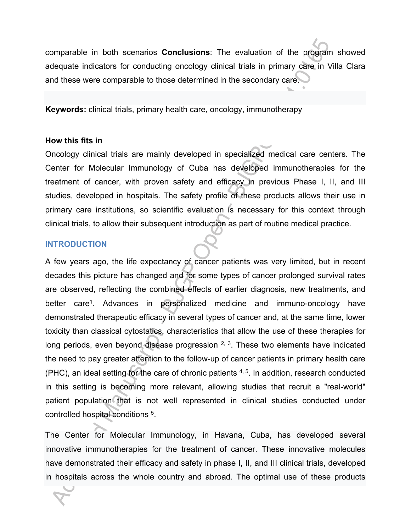comparable in both scenarios **Conclusions**: The evaluation of the program showed adequate indicators for conducting oncology clinical trials in primary care in Villa Clara and these were comparable to those determined in the secondary care.

**Keywords:** clinical trials, primary health care, oncology, immunotherapy

#### **How this fits in**

Oncology clinical trials are mainly developed in specialized medical care centers. The Center for Molecular Immunology of Cuba has developed immunotherapies for the treatment of cancer, with proven safety and efficacy in previous Phase I, II, and III studies, developed in hospitals. The safety profile of these products allows their use in primary care institutions, so scientific evaluation is necessary for this context through clinical trials, to allow their subsequent introduction as part of routine medical practice.

#### **INTRODUCTION**

A few years ago, the life expectancy of cancer patients was very limited, but in recent decades this picture has changed and for some types of cancer prolonged survival rates are observed, reflecting the combined effects of earlier diagnosis, new treatments, and better care<sup>1</sup>. Advances in personalized medicine and immuno-oncology have demonstrated therapeutic efficacy in several types of cancer and, at the same time, lower toxicity than classical cytostatics, characteristics that allow the use of these therapies for long periods, even beyond disease progression  $2, 3$ . These two elements have indicated the need to pay greater attention to the follow-up of cancer patients in primary health care (PHC), an ideal setting for the care of chronic patients  $4, 5$ . In addition, research conducted in this setting is becoming more relevant, allowing studies that recruit a "real-world" patient population that is not well represented in clinical studies conducted under controlled hospital conditions<sup>5</sup>.

The Center for Molecular Immunology, in Havana, Cuba, has developed several innovative immunotherapies for the treatment of cancer. These innovative molecules have demonstrated their efficacy and safety in phase I, II, and III clinical trials, developed in hospitals across the whole country and abroad. The optimal use of these products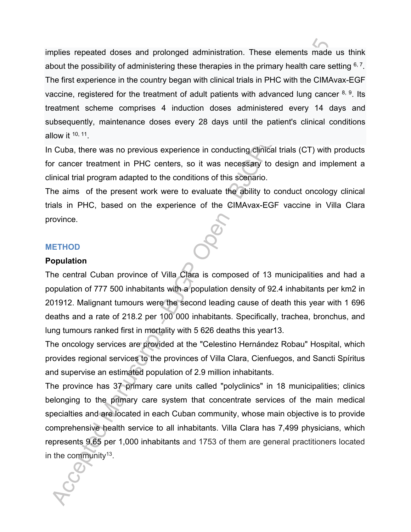implies repeated doses and prolonged administration. These elements made us think about the possibility of administering these therapies in the primary health care setting  $6, 7$ . The first experience in the country began with clinical trials in PHC with the CIMAvax-EGF vaccine, registered for the treatment of adult patients with advanced lung cancer  $8, 9$ . Its treatment scheme comprises 4 induction doses administered every 14 days and subsequently, maintenance doses every 28 days until the patient's clinical conditions allow it  $10, 11$ .

In Cuba, there was no previous experience in conducting clinical trials (CT) with products for cancer treatment in PHC centers, so it was necessary to design and implement a clinical trial program adapted to the conditions of this scenario.

The aims of the present work were to evaluate the ability to conduct oncology clinical trials in PHC, based on the experience of the CIMAvax-EGF vaccine in Villa Clara province.

#### **METHOD**

#### **Population**

The central Cuban province of Villa Clara is composed of 13 municipalities and had a population of 777 500 inhabitants with a population density of 92.4 inhabitants per km2 in 201912. Malignant tumours were the second leading cause of death this year with 1 696 deaths and a rate of 218.2 per 100 000 inhabitants. Specifically, trachea, bronchus, and lung tumours ranked first in mortality with 5 626 deaths this year13.

The oncology services are provided at the "Celestino Hernández Robau" Hospital, which provides regional services to the provinces of Villa Clara, Cienfuegos, and Sancti Spíritus and supervise an estimated population of 2.9 million inhabitants.

The province has 37 primary care units called "polyclinics" in 18 municipalities; clinics belonging to the primary care system that concentrate services of the main medical specialties and are located in each Cuban community, whose main objective is to provide comprehensive health service to all inhabitants. Villa Clara has 7,499 physicians, which represents 9.65 per 1,000 inhabitants and 1753 of them are general practitioners located in the community<sup>13</sup>.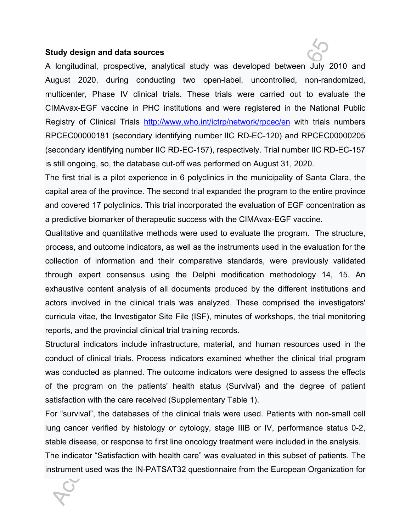#### **Study design and data sources**

A longitudinal, prospective, analytical study was developed between July 2010 and August 2020, during conducting two open-label, uncontrolled, non-randomized, multicenter, Phase IV clinical trials. These trials were carried out to evaluate the CIMAvax-EGF vaccine in PHC institutions and were registered in the National Public Registry of Clinical Trials http://www.who.int/ictrp/network/rpcec/en with trials numbers RPCEC00000181 (secondary identifying number IIC RD-EC-120) and RPCEC00000205 (secondary identifying number IIC RD-EC-157), respectively. Trial number IIC RD-EC-157 is still ongoing, so, the database cut-off was performed on August 31, 2020.

The first trial is a pilot experience in 6 polyclinics in the municipality of Santa Clara, the capital area of the province. The second trial expanded the program to the entire province and covered 17 polyclinics. This trial incorporated the evaluation of EGF concentration as a predictive biomarker of therapeutic success with the CIMAvax-EGF vaccine.

Qualitative and quantitative methods were used to evaluate the program. The structure, process, and outcome indicators, as well as the instruments used in the evaluation for the collection of information and their comparative standards, were previously validated through expert consensus using the Delphi modification methodology 14, 15. An exhaustive content analysis of all documents produced by the different institutions and actors involved in the clinical trials was analyzed. These comprised the investigators' curricula vitae, the Investigator Site File (ISF), minutes of workshops, the trial monitoring reports, and the provincial clinical trial training records.

Structural indicators include infrastructure, material, and human resources used in the conduct of clinical trials. Process indicators examined whether the clinical trial program was conducted as planned. The outcome indicators were designed to assess the effects of the program on the patients' health status (Survival) and the degree of patient satisfaction with the care received (Supplementary Table 1).

For "survival", the databases of the clinical trials were used. Patients with non-small cell lung cancer verified by histology or cytology, stage IIIB or IV, performance status 0-2, stable disease, or response to first line oncology treatment were included in the analysis. The indicator "Satisfaction with health care" was evaluated in this subset of patients. The instrument used was the IN-PATSAT32 questionnaire from the European Organization for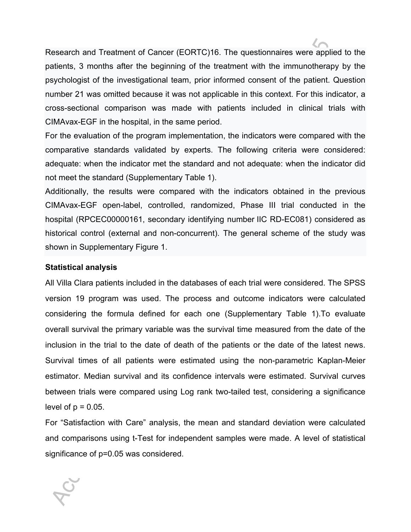Research and Treatment of Cancer (EORTC)16. The questionnaires were applied to the patients, 3 months after the beginning of the treatment with the immunotherapy by the psychologist of the investigational team, prior informed consent of the patient. Question number 21 was omitted because it was not applicable in this context. For this indicator, a cross-sectional comparison was made with patients included in clinical trials with CIMAvax-EGF in the hospital, in the same period.

For the evaluation of the program implementation, the indicators were compared with the comparative standards validated by experts. The following criteria were considered: adequate: when the indicator met the standard and not adequate: when the indicator did not meet the standard (Supplementary Table 1).

Additionally, the results were compared with the indicators obtained in the previous CIMAvax-EGF open-label, controlled, randomized, Phase III trial conducted in the hospital (RPCEC00000161, secondary identifying number IIC RD-EC081) considered as historical control (external and non-concurrent). The general scheme of the study was shown in Supplementary Figure 1.

#### **Statistical analysis**

All Villa Clara patients included in the databases of each trial were considered. The SPSS version 19 program was used. The process and outcome indicators were calculated considering the formula defined for each one (Supplementary Table 1).To evaluate overall survival the primary variable was the survival time measured from the date of the inclusion in the trial to the date of death of the patients or the date of the latest news. Survival times of all patients were estimated using the non-parametric Kaplan-Meier estimator. Median survival and its confidence intervals were estimated. Survival curves between trials were compared using Log rank two-tailed test, considering a significance level of  $p = 0.05$ .

For "Satisfaction with Care" analysis, the mean and standard deviation were calculated and comparisons using t-Test for independent samples were made. A level of statistical significance of p=0.05 was considered.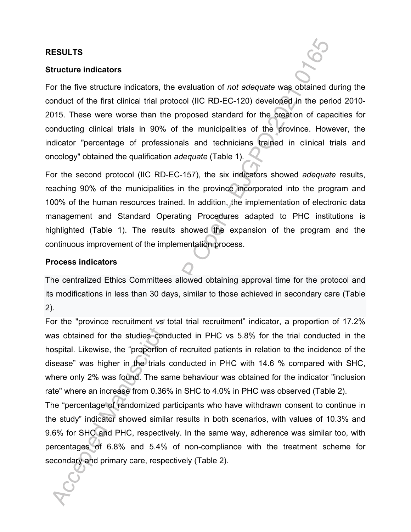#### **RESULTS**

#### **Structure indicators**

For the five structure indicators, the evaluation of *not adequate* was obtained during the conduct of the first clinical trial protocol (IIC RD-EC-120) developed in the period 2010- 2015. These were worse than the proposed standard for the creation of capacities for conducting clinical trials in 90% of the municipalities of the province. However, the indicator "percentage of professionals and technicians trained in clinical trials and oncology" obtained the qualification *adequate* (Table 1).

For the second protocol (IIC RD-EC-157), the six indicators showed *adequate* results, reaching 90% of the municipalities in the province incorporated into the program and 100% of the human resources trained. In addition, the implementation of electronic data management and Standard Operating Procedures adapted to PHC institutions is highlighted (Table 1). The results showed the expansion of the program and the continuous improvement of the implementation process.

## **Process indicators**

The centralized Ethics Committees allowed obtaining approval time for the protocol and its modifications in less than 30 days, similar to those achieved in secondary care (Table 2).

For the "province recruitment vs total trial recruitment" indicator, a proportion of 17.2% was obtained for the studies conducted in PHC vs 5.8% for the trial conducted in the hospital. Likewise, the "proportion of recruited patients in relation to the incidence of the disease" was higher in the trials conducted in PHC with 14.6 % compared with SHC, where only 2% was found. The same behaviour was obtained for the indicator "inclusion rate" where an increase from 0.36% in SHC to 4.0% in PHC was observed (Table 2).

The "percentage of randomized participants who have withdrawn consent to continue in the study" indicator showed similar results in both scenarios, with values of 10.3% and 9.6% for SHC and PHC, respectively. In the same way, adherence was similar too, with percentages of 6.8% and 5.4% of non-compliance with the treatment scheme for secondary and primary care, respectively (Table 2).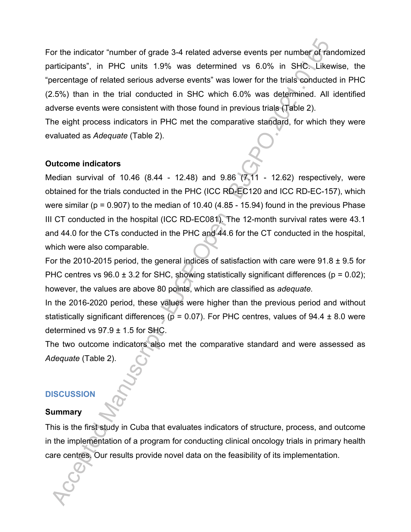For the indicator "number of grade 3-4 related adverse events per number of randomized participants", in PHC units 1.9% was determined vs 6.0% in SHC. Likewise, the "percentage of related serious adverse events" was lower for the trials conducted in PHC (2.5%) than in the trial conducted in SHC which 6.0% was determined. All identified adverse events were consistent with those found in previous trials (Table 2).

The eight process indicators in PHC met the comparative standard, for which they were evaluated as *Adequate* (Table 2).

## **Outcome indicators**

Median survival of 10.46 (8.44 - 12.48) and 9.86 (7.11 - 12.62) respectively, were obtained for the trials conducted in the PHC (ICC RD-EC120 and ICC RD-EC-157), which were similar ( $p = 0.907$ ) to the median of 10.40 (4.85 - 15.94) found in the previous Phase III CT conducted in the hospital (ICC RD-EC081). The 12-month survival rates were 43.1 and 44.0 for the CTs conducted in the PHC and 44.6 for the CT conducted in the hospital, which were also comparable.

For the 2010-2015 period, the general indices of satisfaction with care were  $91.8 \pm 9.5$  for PHC centres vs  $96.0 \pm 3.2$  for SHC, showing statistically significant differences ( $p = 0.02$ ); however, the values are above 80 points, which are classified as *adequate.*

In the 2016-2020 period, these values were higher than the previous period and without statistically significant differences ( $p = 0.07$ ). For PHC centres, values of 94.4  $\pm$  8.0 were determined vs  $97.9 \pm 1.5$  for SHC.

The two outcome indicators also met the comparative standard and were assessed as *Adequate* (Table 2).

# **DISCUSSION**

#### **Summary**

This is the first study in Cuba that evaluates indicators of structure, process, and outcome in the implementation of a program for conducting clinical oncology trials in primary health care centres. Our results provide novel data on the feasibility of its implementation.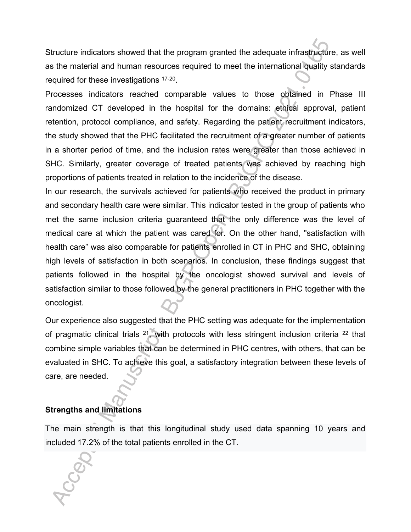Structure indicators showed that the program granted the adequate infrastructure, as well as the material and human resources required to meet the international quality standards required for these investigations <sup>17-20</sup>.

Processes indicators reached comparable values to those obtained in Phase III randomized CT developed in the hospital for the domains: ethical approval, patient retention, protocol compliance, and safety. Regarding the patient recruitment indicators, the study showed that the PHC facilitated the recruitment of a greater number of patients in a shorter period of time, and the inclusion rates were greater than those achieved in SHC. Similarly, greater coverage of treated patients was achieved by reaching high proportions of patients treated in relation to the incidence of the disease.

In our research, the survivals achieved for patients who received the product in primary and secondary health care were similar. This indicator tested in the group of patients who met the same inclusion criteria guaranteed that the only difference was the level of medical care at which the patient was cared for. On the other hand, "satisfaction with health care" was also comparable for patients enrolled in CT in PHC and SHC, obtaining high levels of satisfaction in both scenarios. In conclusion, these findings suggest that patients followed in the hospital by the oncologist showed survival and levels of satisfaction similar to those followed by the general practitioners in PHC together with the oncologist.

Our experience also suggested that the PHC setting was adequate for the implementation of pragmatic clinical trials  $21$ , with protocols with less stringent inclusion criteria  $22$  that combine simple variables that can be determined in PHC centres, with others, that can be evaluated in SHC. To achieve this goal, a satisfactory integration between these levels of care, are needed.

# **Strengths and limitations**

The main strength is that this longitudinal study used data spanning 10 years and included 17.2% of the total patients enrolled in the CT.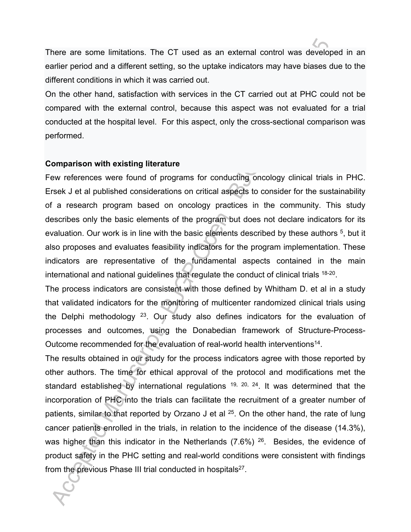There are some limitations. The CT used as an external control was developed in an earlier period and a different setting, so the uptake indicators may have biases due to the different conditions in which it was carried out.

On the other hand, satisfaction with services in the CT carried out at PHC could not be compared with the external control, because this aspect was not evaluated for a trial conducted at the hospital level. For this aspect, only the cross-sectional comparison was performed.

#### **Comparison with existing literature**

Few references were found of programs for conducting oncology clinical trials in PHC. Ersek J et al published considerations on critical aspects to consider for the sustainability of a research program based on oncology practices in the community. This study describes only the basic elements of the program but does not declare indicators for its evaluation. Our work is in line with the basic elements described by these authors <sup>5</sup>, but it also proposes and evaluates feasibility indicators for the program implementation. These indicators are representative of the fundamental aspects contained in the main international and national guidelines that regulate the conduct of clinical trials 18-20 .

The process indicators are consistent with those defined by Whitham D. et al in a study that validated indicators for the monitoring of multicenter randomized clinical trials using the Delphi methodology  $23$ . Our study also defines indicators for the evaluation of processes and outcomes, using the Donabedian framework of Structure-Process-Outcome recommended for the evaluation of real-world health interventions<sup>14</sup>.

The results obtained in our study for the process indicators agree with those reported by other authors. The time for ethical approval of the protocol and modifications met the standard established by international regulations  $19$ ,  $20$ ,  $24$ . It was determined that the incorporation of PHC into the trials can facilitate the recruitment of a greater number of patients, similar to that reported by Orzano J et al  $25$ . On the other hand, the rate of lung cancer patients enrolled in the trials, in relation to the incidence of the disease (14.3%), was higher than this indicator in the Netherlands (7.6%) <sup>26</sup>. Besides, the evidence of product safety in the PHC setting and real-world conditions were consistent with findings from the previous Phase III trial conducted in hospitals<sup>27</sup>.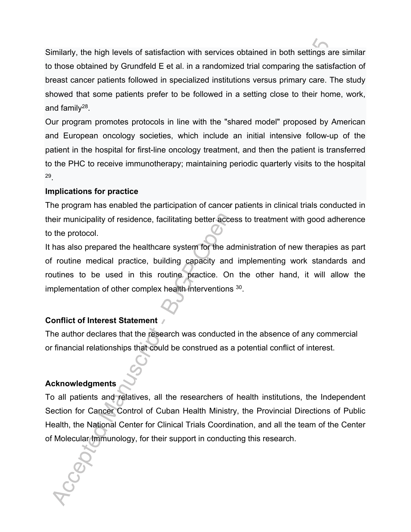Similarly, the high levels of satisfaction with services obtained in both settings are similar to those obtained by Grundfeld E et al. in a randomized trial comparing the satisfaction of breast cancer patients followed in specialized institutions versus primary care. The study showed that some patients prefer to be followed in a setting close to their home, work, and family<sup>28</sup>.

Our program promotes protocols in line with the "shared model" proposed by American and European oncology societies, which include an initial intensive follow-up of the patient in the hospital for first-line oncology treatment, and then the patient is transferred to the PHC to receive immunotherapy; maintaining periodic quarterly visits to the hospital 29 .

# **Implications for practice**

The program has enabled the participation of cancer patients in clinical trials conducted in their municipality of residence, facilitating better access to treatment with good adherence to the protocol.

It has also prepared the healthcare system for the administration of new therapies as part of routine medical practice, building capacity and implementing work standards and routines to be used in this routine practice. On the other hand, it will allow the implementation of other complex health interventions <sup>30</sup> .

# **Conflict of Interest Statement**

The author declares that the research was conducted in the absence of any commercial or financial relationships that could be construed as a potential conflict of interest.

# **Acknowledgments**

To all patients and relatives, all the researchers of health institutions, the Independent Section for Cancer Control of Cuban Health Ministry, the Provincial Directions of Public Health, the National Center for Clinical Trials Coordination, and all the team of the Center of Molecular Immunology, for their support in conducting this research.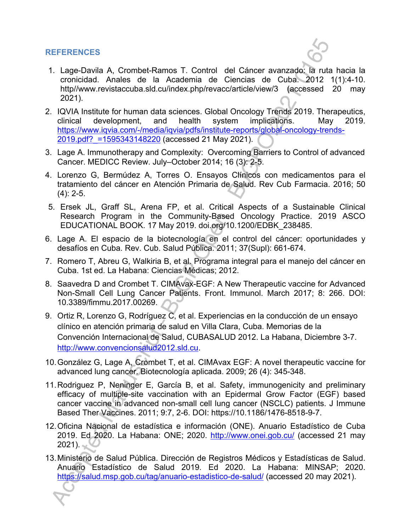# **REFERENCES**

- 1. Lage-Davila A, Crombet-Ramos T. Control del Cáncer avanzado: la ruta hacia la cronicidad. Anales de la Academia de Ciencias de Cuba. 2012 1(1):4-10. http//www.revistaccuba.sld.cu/index.php/revacc/article/view/3 (accessed 20 may 2021).
- 2. IQVIA Institute for human data sciences. Global Oncology Trends 2019. Therapeutics, clinical development, and health system implications. May 2019. https://www.iqvia.com/-/media/iqvia/pdfs/institute-reports/global-oncology-trends-2019.pdf?\_=1595343148220 (accessed 21 May 2021).
- 3. Lage A. Immunotherapy and Complexity: Overcoming Barriers to Control of advanced Cancer. MEDICC Review. July–October 2014; 16 (3): 2-5.
- 4. Lorenzo G, Bermúdez A, Torres O. Ensayos Clínicos con medicamentos para el tratamiento del cáncer en Atención Primaria de Salud. Rev Cub Farmacia. 2016; 50  $(4): 2-5.$
- 5. Ersek JL, Graff SL, Arena FP, et al. Critical Aspects of a Sustainable Clinical Research Program in the Community-Based Oncology Practice. 2019 ASCO EDUCATIONAL BOOK. 17 May 2019. doi.org/10.1200/EDBK\_238485.
- 6. Lage A. El espacio de la biotecnología en el control del cáncer: oportunidades y desafíos en Cuba. Rev. Cub. Salud Pública. 2011; 37(Supl): 661-674.
- 7. Romero T, Abreu G, Walkiria B, et al. Programa integral para el manejo del cáncer en Cuba. 1st ed. La Habana: Ciencias Médicas; 2012.
- 8. Saavedra D and Crombet T. CIMAvax-EGF: A New Therapeutic vaccine for Advanced Non-Small Cell Lung Cancer Patients. Front. Immunol. March 2017; 8: 266. DOI: 10.3389/fimmu.2017.00269.
- 9. Ortiz R, Lorenzo G, Rodríguez C, et al. Experiencias en la conducción de un ensayo clínico en atención primaria de salud en Villa Clara, Cuba. Memorias de la Convención Internacional de Salud, CUBASALUD 2012. La Habana, Diciembre 3-7. http://www.convencionsalud2012.sld.cu.
- 10.González G, Lage A, Crombet T, et al. CIMAvax EGF: A novel therapeutic vaccine for advanced lung cancer. Biotecnología aplicada. 2009; 26 (4): 345-348.
- 11.Rodriguez P, Neninger E, García B, et al. Safety, immunogenicity and preliminary efficacy of multiple-site vaccination with an Epidermal Grow Factor (EGF) based cancer vaccine in advanced non-small cell lung cancer (NSCLC) patients. J Immune Based Ther Vaccines. 2011; 9:7, 2-6. DOI: https://10.1186/1476-8518-9-7.
- 12.Oficina Nacional de estadística e información (ONE). Anuario Estadístico de Cuba 2019. Ed 2020. La Habana: ONE; 2020. http://www.onei.gob.cu/ (accessed 21 may  $2021$ ).
- 13.Ministerio de Salud Pública. Dirección de Registros Médicos y Estadísticas de Salud. Anuario Estadístico de Salud 2019. Ed 2020. La Habana: MINSAP; 2020. https://salud.msp.gob.cu/tag/anuario-estadistico-de-salud/ (accessed 20 may 2021).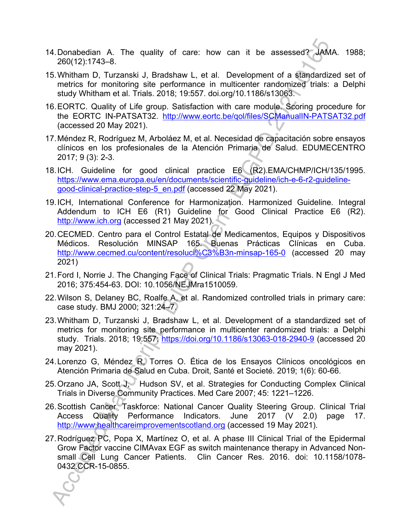- 14.Donabedian A. The quality of care: how can it be assessed? JAMA. 1988; 260(12):1743–8.
- 15.Whitham D, Turzanski J, Bradshaw L, et al. Development of a standardized set of metrics for monitoring site performance in multicenter randomized trials: a Delphi study Whitham et al. Trials. 2018; 19:557. doi.org/10.1186/s13063.
- 16.EORTC. Quality of Life group. Satisfaction with care module. Scoring procedure for the EORTC IN-PATSAT32. http://www.eortc.be/qol/files/SCManualIN-PATSAT32.pdf (accessed 20 May 2021).
- 17.Méndez R, Rodríguez M, Arboláez M, et al. Necesidad de capacitación sobre ensayos clínicos en los profesionales de la Atención Primaria de Salud. EDUMECENTRO 2017; 9 (3): 2-3.
- 18.ICH. Guideline for good clinical practice E6 (R2).EMA/CHMP/ICH/135/1995. https://www.ema.europa.eu/en/documents/scientific-guideline/ich-e-6-r2-guidelinegood-clinical-practice-step-5\_en.pdf (accessed 22 May 2021).
- 19.ICH, International Conference for Harmonization. Harmonized Guideline. Integral Addendum to ICH E6 (R1) Guideline for Good Clinical Practice E6 (R2). http://www.ich.org (accessed 21 May 2021).
- 20.CECMED. Centro para el Control Estatal de Medicamentos, Equipos y Dispositivos Médicos. Resolución MINSAP 165. Buenas Prácticas Clínicas en Cuba. http://www.cecmed.cu/content/resoluci%C3%B3n-minsap-165-0 (accessed 20 may 2021)
- 21.Ford I, Norrie J. The Changing Face of Clinical Trials: Pragmatic Trials. N Engl J Med 2016; 375:454-63. DOI: 10.1056/NEJMra1510059.
- 22.Wilson S, Delaney BC, Roalfe A, et al. Randomized controlled trials in primary care: case study. BMJ 2000; 321:24–7.
- 23.Whitham D, Turzanski J, Bradshaw L, et al. Development of a standardized set of metrics for monitoring site performance in multicenter randomized trials: a Delphi study. Trials. 2018; 19:557: https://doi.org/10.1186/s13063-018-2940-9 (accessed 20 may 2021).
- 24.Lorenzo G, Méndez R, Torres O. Ética de los Ensayos Clínicos oncológicos en Atención Primaria de Salud en Cuba. Droit, Santé et Societé. 2019; 1(6): 60-66.
- 25. Orzano JA, Scott J, Hudson SV, et al. Strategies for Conducting Complex Clinical Trials in Diverse Community Practices. Med Care 2007; 45: 1221–1226.
- 26.Scottish Cancer Taskforce: National Cancer Quality Steering Group. Clinical Trial Access Quality Performance Indicators. June 2017 (V 2.0) page 17. http://www.healthcareimprovementscotland.org (accessed 19 May 2021).
- 27.Rodríguez PC, Popa X, Martínez O, et al. A phase III Clinical Trial of the Epidermal Grow Factor vaccine CIMAvax EGF as switch maintenance therapy in Advanced Nonsmall Cell Lung Cancer Patients. Clin Cancer Res. 2016. doi: 10.1158/1078- 0432.CCR-15-0855.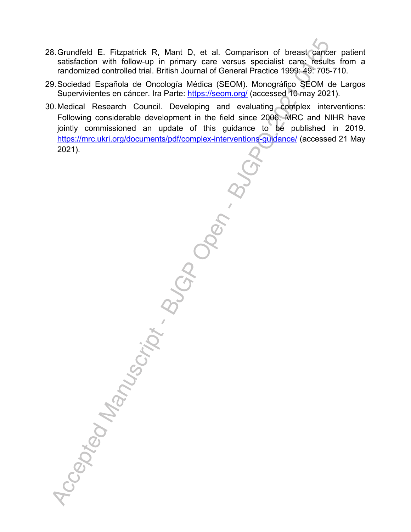- 28.Grundfeld E. Fitzpatrick R, Mant D, et al. Comparison of breast cancer patient satisfaction with follow-up in primary care versus specialist care: results from a randomized controlled trial. British Journal of General Practice 1999: 49: 705-710.
- 29.Sociedad Española de Oncología Médica (SEOM). Monográfico SEOM de Largos Supervivientes en cáncer. Ira Parte: https://seom.org/ (accessed 10 may 2021).
- 30.Medical Research Council. Developing and evaluating complex interventions: Following considerable development in the field since 2006, MRC and NIHR have jointly commissioned an update of this guidance to be published in 2019. https://mrc.ukri.org/documents/pdf/complex-interventions-guidance/ (accessed 21 May 2021).

Accepted Manuscript . Butch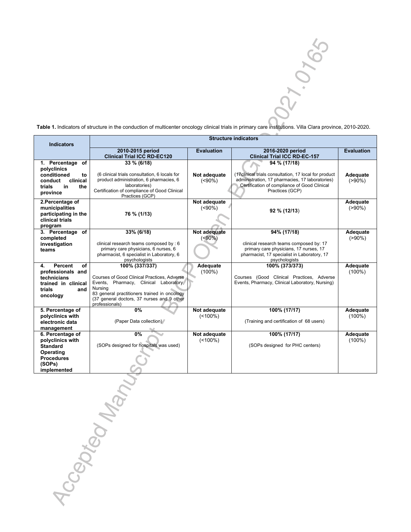27.0765

**Table 1.** Indicators of structure in the conduction of multicenter oncology clinical trials in primary care institutions. Villa Clara province, 2010-2020.

| <b>Indicators</b>                    | <b>Structure indicators</b>                              |                             |                                                                                                 |                         |  |
|--------------------------------------|----------------------------------------------------------|-----------------------------|-------------------------------------------------------------------------------------------------|-------------------------|--|
|                                      | 2010-2015 period                                         | <b>Evaluation</b>           | 2016-2020 period                                                                                | <b>Evaluation</b>       |  |
|                                      | <b>Clinical Trial ICC RD-EC120</b>                       |                             | <b>Clinical Trial ICC RD-EC-157</b>                                                             |                         |  |
| 1. Percentage of                     | 33 % (6/18)                                              |                             | 94 % (17/18)                                                                                    |                         |  |
| polyclinics                          |                                                          |                             |                                                                                                 |                         |  |
| conditioned<br>to                    | (6 clinical trials consultation, 6 locals for            | Not adequate                | (17 clinical trials consultation, 17 local for product)                                         | Adequate                |  |
| clinical<br>conduct                  | product administration, 6 pharmacies, 6<br>laboratories) | $(50\%)$                    | administration, 17 pharmacies, 17 laboratories)<br>Certification of compliance of Good Clinical | $( > 90\%)$             |  |
| in<br>the<br>trials                  | Certification of compliance of Good Clinical             |                             | Practices (GCP)                                                                                 |                         |  |
| province                             | Practices (GCP)                                          |                             |                                                                                                 |                         |  |
| 2.Percentage of                      |                                                          | Not adequate                |                                                                                                 | Adequate                |  |
| municipalities                       |                                                          | $( < 90\%)$                 | 92 % (12/13)                                                                                    | $( > 90\%)$             |  |
| participating in the                 | 76 % (1/13)                                              |                             |                                                                                                 |                         |  |
| clinical trials                      |                                                          |                             |                                                                                                 |                         |  |
| program                              |                                                          |                             |                                                                                                 |                         |  |
| 3. Percentage of<br>completed        | 33% (6/18)                                               | Not adequate<br>$(50\%)$    | 94% (17/18)                                                                                     | Adequate<br>$( > 90\%)$ |  |
| investigation                        | clinical research teams composed by: 6                   |                             | clinical research teams composed by: 17                                                         |                         |  |
| teams                                | primary care physicians, 6 nurses, 6                     |                             | primary care physicians, 17 nurses, 17                                                          |                         |  |
|                                      | pharmacist, 6 specialist in Laboratory, 6                |                             | pharmacist, 17 specialist in Laboratory, 17                                                     |                         |  |
|                                      | psychologists                                            |                             | psychologists                                                                                   |                         |  |
| Percent<br>4.<br>оf                  | 100% (337/337)                                           | Adequate                    | 100% (373/373)                                                                                  | Adequate                |  |
| professionals and                    | Courses of Good Clinical Practices, Adverse              | $(100\%)$                   | Courses (Good Clinical Practices, Adverse                                                       | $(100\%)$               |  |
| technicians<br>trained in clinical   | Events, Pharmacy, Clinical Laboratory,                   |                             | Events, Pharmacy, Clinical Laboratory, Nursing)                                                 |                         |  |
| trials<br>and                        | Nursing                                                  |                             |                                                                                                 |                         |  |
| oncology                             | 83 general practitioners trained in oncology             |                             |                                                                                                 |                         |  |
|                                      | (37 general doctors, 37 nurses and 9 other               |                             |                                                                                                 |                         |  |
|                                      | professionals)<br>0%                                     |                             |                                                                                                 |                         |  |
| 5. Percentage of<br>polyclinics with |                                                          | Not adequate<br>$($ < 100%) | 100% (17/17)                                                                                    | Adequate<br>$(100\%)$   |  |
| electronic data                      | (Paper Data collection)                                  |                             | (Training and certification of 68 users)                                                        |                         |  |
| management                           |                                                          |                             |                                                                                                 |                         |  |
| 6. Percentage of                     | 0%                                                       | Not adequate                | 100% (17/17)                                                                                    | Adequate                |  |
| polyclinics with                     |                                                          | $($ < 100%)                 |                                                                                                 | $(100\%)$               |  |
| <b>Standard</b>                      | (SOPs designed for hospitals was used)                   |                             | (SOPs designed for PHC centers)                                                                 |                         |  |
| Operating                            |                                                          |                             |                                                                                                 |                         |  |
| <b>Procedures</b>                    |                                                          |                             |                                                                                                 |                         |  |
| (SOPs)                               |                                                          |                             |                                                                                                 |                         |  |
| implemented                          |                                                          |                             |                                                                                                 |                         |  |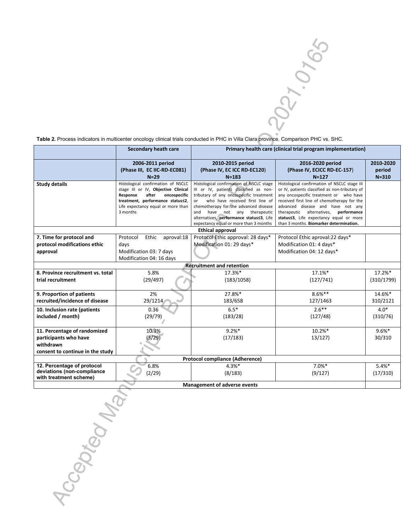2021-0105

**Table 2.** Process indicators in multicenter oncology clinical trials conducted in PHC in Villa Clara province. Comparison PHC vs. SHC.

|                                        | Secondary heath care                                                   | Primary health care (clinical trial program implementation)                    |                                                                                  |            |  |  |  |  |
|----------------------------------------|------------------------------------------------------------------------|--------------------------------------------------------------------------------|----------------------------------------------------------------------------------|------------|--|--|--|--|
|                                        | 2006-2011 period                                                       | 2010-2015 period                                                               | 2016-2020 period                                                                 | 2010-2020  |  |  |  |  |
|                                        | (Phase III, EC IIC-RD-EC081)                                           | (Phase IV, EC ICC RD-EC120)                                                    | (Phase IV, ECICC RD-EC-157)                                                      | period     |  |  |  |  |
|                                        | $N=29$                                                                 | $N = 183$                                                                      | $N = 127$                                                                        | $N = 310$  |  |  |  |  |
| <b>Study details</b>                   | Histological confirmation of NSCLC                                     | Histological confirmation of NSCLC stage                                       | Histological confirmation of NSCLC stage III                                     |            |  |  |  |  |
|                                        | stage III or IV, Objective Clinical                                    | III or IV, patients classified as non-                                         | or IV, patients classified as non-tributary of                                   |            |  |  |  |  |
|                                        | Response<br>after<br>oncospecific                                      | tributary of any oncospecific treatment                                        | any oncospecific treatment or who have                                           |            |  |  |  |  |
|                                        | treatment, performance status<2,<br>Life expectancy equal or more than | who have received first line of<br>or<br>chemotherapy for the advanced disease | received first line of chemotherapy for the<br>advanced disease and have not any |            |  |  |  |  |
|                                        | 3 months                                                               | and<br>have<br>not any therapeutic                                             | therapeutic alternatives, performance                                            |            |  |  |  |  |
|                                        |                                                                        | alternatives, performance status<3, Life                                       | status<3, Life expectancy equal or more                                          |            |  |  |  |  |
|                                        |                                                                        | expectancy equal or more than 3 months                                         | than 3 months. Biomarker determination.                                          |            |  |  |  |  |
|                                        | <b>Ethical approval</b>                                                |                                                                                |                                                                                  |            |  |  |  |  |
| 7. Time for protocol and               | Protocol<br>Ethic<br>aproval:18                                        | Protocol Ethic approval: 28 days*                                              | Protocol Ethic aproval:22 days*                                                  |            |  |  |  |  |
| protocol modifications ethic           | days                                                                   | Modification 01: 29 days*                                                      | Modification 01: 4 days*                                                         |            |  |  |  |  |
| approval                               | Modification 03: 7 days                                                |                                                                                | Modification 04: 12 days*                                                        |            |  |  |  |  |
|                                        | Modification 04: 16 days                                               |                                                                                |                                                                                  |            |  |  |  |  |
| <b>Recruitment and retention</b>       |                                                                        |                                                                                |                                                                                  |            |  |  |  |  |
| 8. Province recruitment vs. total      | 5.8%                                                                   | 17.3%*                                                                         | 17.1%*                                                                           | 17.2%*     |  |  |  |  |
| trial recruitment                      | (29/497)                                                               | (183/1058)                                                                     | (127/741)                                                                        | (310/1799) |  |  |  |  |
|                                        |                                                                        |                                                                                |                                                                                  |            |  |  |  |  |
| 9. Proportion of patients              | 2%                                                                     | 27.8%*                                                                         | $8.6%$ **                                                                        | 14.6%*     |  |  |  |  |
| recruited/incidence of disease         | 29/1214                                                                | 183/658                                                                        | 127/1463                                                                         | 310/2121   |  |  |  |  |
| 10. Inclusion rate (patients           | 0.36                                                                   | $6.5*$                                                                         | $2.6***$                                                                         | $4.0*$     |  |  |  |  |
| included / month)                      | (29/79)                                                                | (183/28)                                                                       | (127/48)                                                                         | (310/76)   |  |  |  |  |
|                                        |                                                                        |                                                                                |                                                                                  |            |  |  |  |  |
| 11. Percentage of randomized           | 10.3%                                                                  | $9.2%$ *                                                                       | 10.2%*                                                                           | $9.6%$ *   |  |  |  |  |
| participants who have                  | (3/29)                                                                 | (17/183)                                                                       | 13/127                                                                           | 30/310     |  |  |  |  |
| withdrawn                              |                                                                        |                                                                                |                                                                                  |            |  |  |  |  |
| consent to continue in the study       |                                                                        |                                                                                |                                                                                  |            |  |  |  |  |
| <b>Protocol compliance (Adherence)</b> |                                                                        |                                                                                |                                                                                  |            |  |  |  |  |
| 12. Percentage of protocol             | 6.8%                                                                   | $4.3%$ *                                                                       | $7.0\%$ *                                                                        | $5.4%$ *   |  |  |  |  |
| deviations (non-compliance             | (2/29)                                                                 | (8/183)                                                                        | (9/127)                                                                          | (17/310)   |  |  |  |  |
| with treatment scheme)                 |                                                                        |                                                                                |                                                                                  |            |  |  |  |  |
| <b>Management of adverse events</b>    |                                                                        |                                                                                |                                                                                  |            |  |  |  |  |